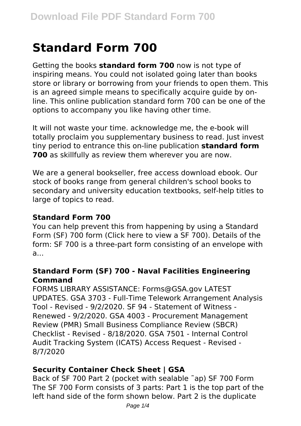# **Standard Form 700**

Getting the books **standard form 700** now is not type of inspiring means. You could not isolated going later than books store or library or borrowing from your friends to open them. This is an agreed simple means to specifically acquire guide by online. This online publication standard form 700 can be one of the options to accompany you like having other time.

It will not waste your time. acknowledge me, the e-book will totally proclaim you supplementary business to read. Just invest tiny period to entrance this on-line publication **standard form 700** as skillfully as review them wherever you are now.

We are a general bookseller, free access download ebook. Our stock of books range from general children's school books to secondary and university education textbooks, self-help titles to large of topics to read.

## **Standard Form 700**

You can help prevent this from happening by using a Standard Form (SF) 700 form (Click here to view a SF 700). Details of the form: SF 700 is a three-part form consisting of an envelope with a...

## **Standard Form (SF) 700 - Naval Facilities Engineering Command**

FORMS LIBRARY ASSISTANCE: Forms@GSA.gov LATEST UPDATES. GSA 3703 - Full-Time Telework Arrangement Analysis Tool - Revised - 9/2/2020. SF 94 - Statement of Witness - Renewed - 9/2/2020. GSA 4003 - Procurement Management Review (PMR) Small Business Compliance Review (SBCR) Checklist - Revised - 8/18/2020. GSA 7501 - Internal Control Audit Tracking System (ICATS) Access Request - Revised - 8/7/2020

## **Security Container Check Sheet | GSA**

Back of SF 700 Part 2 (pocket with sealable ˜ap) SF 700 Form The SF 700 Form consists of 3 parts: Part 1 is the top part of the left hand side of the form shown below. Part 2 is the duplicate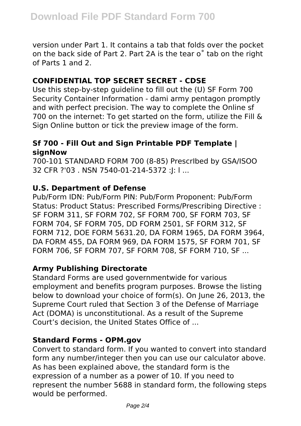version under Part 1. It contains a tab that folds over the pocket on the back side of Part 2. Part 2A is the tear o˚ tab on the right of Parts 1 and 2.

# **CONFIDENTIAL TOP SECRET SECRET - CDSE**

Use this step-by-step guideline to fill out the (U) SF Form 700 Security Container Information - dami army pentagon promptly and with perfect precision. The way to complete the Online sf 700 on the internet: To get started on the form, utilize the Fill & Sign Online button or tick the preview image of the form.

## **Sf 700 - Fill Out and Sign Printable PDF Template | signNow**

700-101 STANDARD FORM 700 (8-85) PrescrIbed by GSA/ISOO 32 CFR ?'03 . NSN 7540-01-214-5372 :J: l ...

## **U.S. Department of Defense**

Pub/Form IDN: Pub/Form PIN: Pub/Form Proponent: Pub/Form Status: Product Status: Prescribed Forms/Prescribing Directive : SF FORM 311, SF FORM 702, SF FORM 700, SF FORM 703, SF FORM 704, SF FORM 705, DD FORM 2501, SF FORM 312, SF FORM 712, DOE FORM 5631.20, DA FORM 1965, DA FORM 3964, DA FORM 455, DA FORM 969, DA FORM 1575, SF FORM 701, SF FORM 706, SF FORM 707, SF FORM 708, SF FORM 710, SF ...

# **Army Publishing Directorate**

Standard Forms are used governmentwide for various employment and benefits program purposes. Browse the listing below to download your choice of form(s). On June 26, 2013, the Supreme Court ruled that Section 3 of the Defense of Marriage Act (DOMA) is unconstitutional. As a result of the Supreme Court's decision, the United States Office of ...

## **Standard Forms - OPM.gov**

Convert to standard form. If you wanted to convert into standard form any number/integer then you can use our calculator above. As has been explained above, the standard form is the expression of a number as a power of 10. If you need to represent the number 5688 in standard form, the following steps would be performed.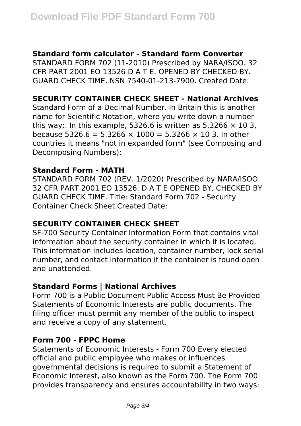## **Standard form calculator - Standard form Converter**

STANDARD FORM 702 (11-2010) Prescribed by NARA/ISOO. 32 CFR PART 2001 EO 13526 D A T E. OPENED BY CHECKED BY. GUARD CHECK TIME. NSN 7540-01-213-7900. Created Date:

## **SECURITY CONTAINER CHECK SHEET - National Archives**

Standard Form of a Decimal Number. In Britain this is another name for Scientific Notation, where you write down a number this way:. In this example, 5326.6 is written as 5.3266  $\times$  10 3. because 5326.6 = 5.3266 × 1000 = 5.3266 × 10 3. In other countries it means "not in expanded form" (see Composing and Decomposing Numbers):

#### **Standard Form - MATH**

STANDARD FORM 702 (REV. 1/2020) Prescribed by NARA/ISOO 32 CFR PART 2001 EO 13526. D A T E OPENED BY. CHECKED BY GUARD CHECK TIME. Title: Standard Form 702 - Security Container Check Sheet Created Date:

## **SECURITY CONTAINER CHECK SHEET**

SF-700 Security Container Information Form that contains vital information about the security container in which it is located. This information includes location, container number, lock serial number, and contact information if the container is found open and unattended.

## **Standard Forms | National Archives**

Form 700 is a Public Document Public Access Must Be Provided Statements of Economic Interests are public documents. The filing officer must permit any member of the public to inspect and receive a copy of any statement.

#### **Form 700 - FPPC Home**

Statements of Economic Interests - Form 700 Every elected official and public employee who makes or influences governmental decisions is required to submit a Statement of Economic Interest, also known as the Form 700. The Form 700 provides transparency and ensures accountability in two ways: